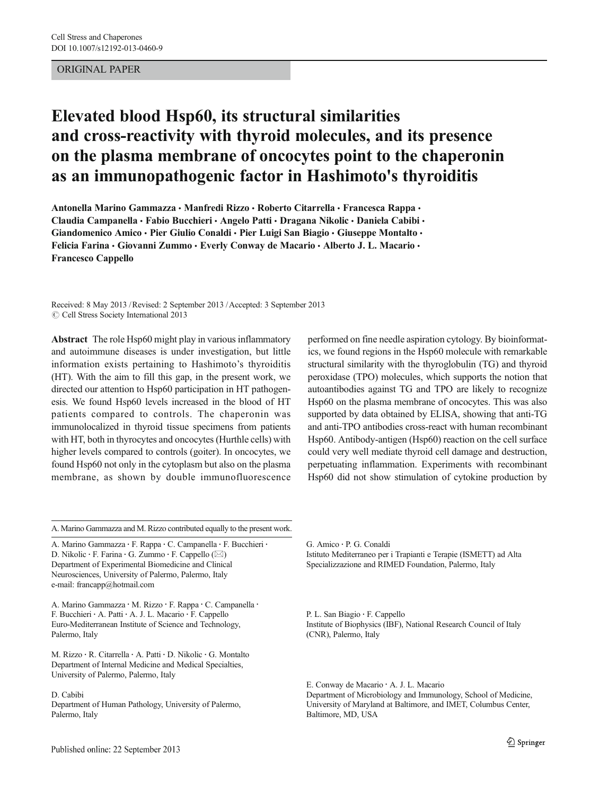## ORIGINAL PAPER

# Elevated blood Hsp60, its structural similarities and cross-reactivity with thyroid molecules, and its presence on the plasma membrane of oncocytes point to the chaperonin as an immunopathogenic factor in Hashimoto's thyroiditis

Antonella Marino Gammazza · Manfredi Rizzo · Roberto Citarrella · Francesca Rappa · Claudia Campanella • Fabio Bucchieri • Angelo Patti • Dragana Nikolic • Daniela Cabibi • Giandomenico Amico • Pier Giulio Conaldi • Pier Luigi San Biagio • Giuseppe Montalto • Felicia Farina · Giovanni Zummo · Everly Conway de Macario · Alberto J. L. Macario · Francesco Cappello

Received: 8 May 2013 /Revised: 2 September 2013 /Accepted: 3 September 2013  $\odot$  Cell Stress Society International 2013

Abstract The role Hsp60 might play in various inflammatory and autoimmune diseases is under investigation, but little information exists pertaining to Hashimoto's thyroiditis (HT). With the aim to fill this gap, in the present work, we directed our attention to Hsp60 participation in HT pathogenesis. We found Hsp60 levels increased in the blood of HT patients compared to controls. The chaperonin was immunolocalized in thyroid tissue specimens from patients with HT, both in thyrocytes and oncocytes (Hurthle cells) with higher levels compared to controls (goiter). In oncocytes, we found Hsp60 not only in the cytoplasm but also on the plasma membrane, as shown by double immunofluorescence performed on fine needle aspiration cytology. By bioinformatics, we found regions in the Hsp60 molecule with remarkable structural similarity with the thyroglobulin (TG) and thyroid peroxidase (TPO) molecules, which supports the notion that autoantibodies against TG and TPO are likely to recognize Hsp60 on the plasma membrane of oncocytes. This was also supported by data obtained by ELISA, showing that anti-TG and anti-TPO antibodies cross-react with human recombinant Hsp60. Antibody-antigen (Hsp60) reaction on the cell surface could very well mediate thyroid cell damage and destruction, perpetuating inflammation. Experiments with recombinant Hsp60 did not show stimulation of cytokine production by

A. Marino Gammazza and M. Rizzo contributed equally to the present work.

A. Marino Gammazza : F. Rappa : C. Campanella : F. Bucchieri : D. Nikolic · F. Farina · G. Zummo · F. Cappello (⊠) Department of Experimental Biomedicine and Clinical Neurosciences, University of Palermo, Palermo, Italy e-mail: francapp@hotmail.com

A. Marino Gammazza : M. Rizzo : F. Rappa : C. Campanella : F. Bucchieri : A. Patti : A. J. L. Macario : F. Cappello Euro-Mediterranean Institute of Science and Technology, Palermo, Italy

M. Rizzo : R. Citarrella : A. Patti : D. Nikolic : G. Montalto Department of Internal Medicine and Medical Specialties, University of Palermo, Palermo, Italy

#### D. Cabibi

Department of Human Pathology, University of Palermo, Palermo, Italy

G. Amico : P. G. Conaldi

Istituto Mediterraneo per i Trapianti e Terapie (ISMETT) ad Alta Specializzazione and RIMED Foundation, Palermo, Italy

P. L. San Biagio : F. Cappello Institute of Biophysics (IBF), National Research Council of Italy (CNR), Palermo, Italy

E. Conway de Macario : A. J. L. Macario Department of Microbiology and Immunology, School of Medicine, University of Maryland at Baltimore, and IMET, Columbus Center, Baltimore, MD, USA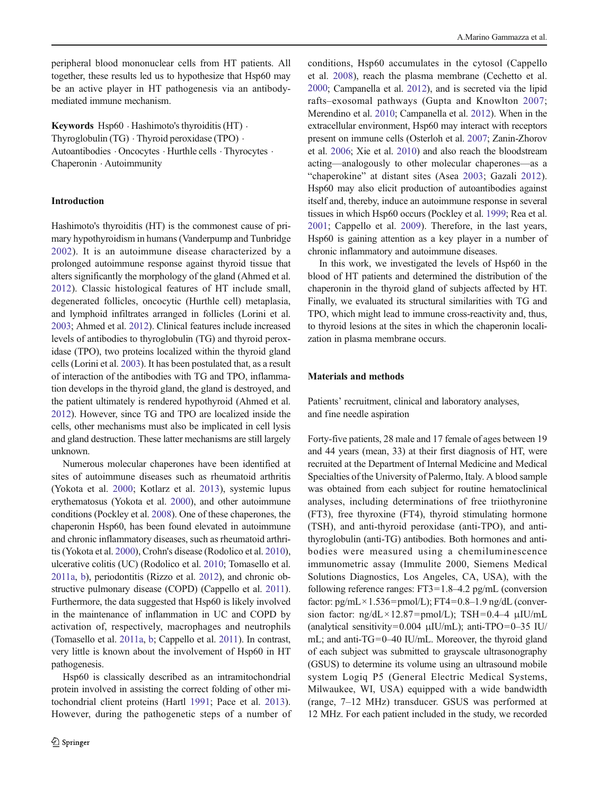peripheral blood mononuclear cells from HT patients. All together, these results led us to hypothesize that Hsp60 may be an active player in HT pathogenesis via an antibodymediated immune mechanism.

Keywords Hsp60 · Hashimoto's thyroiditis (HT) · Thyroglobulin (TG) . Thyroid peroxidase (TPO) . Autoantibodies . Oncocytes . Hurthle cells . Thyrocytes . Chaperonin . Autoimmunity

## Introduction

Hashimoto's thyroiditis (HT) is the commonest cause of primary hypothyroidism in humans (Vanderpump and Tunbridge [2002\)](#page-9-0). It is an autoimmune disease characterized by a prolonged autoimmune response against thyroid tissue that alters significantly the morphology of the gland (Ahmed et al. [2012](#page-8-0)). Classic histological features of HT include small, degenerated follicles, oncocytic (Hurthle cell) metaplasia, and lymphoid infiltrates arranged in follicles (Lorini et al. [2003;](#page-9-0) Ahmed et al. [2012\)](#page-8-0). Clinical features include increased levels of antibodies to thyroglobulin (TG) and thyroid peroxidase (TPO), two proteins localized within the thyroid gland cells (Lorini et al. [2003\)](#page-9-0). It has been postulated that, as a result of interaction of the antibodies with TG and TPO, inflammation develops in the thyroid gland, the gland is destroyed, and the patient ultimately is rendered hypothyroid (Ahmed et al. [2012\)](#page-8-0). However, since TG and TPO are localized inside the cells, other mechanisms must also be implicated in cell lysis and gland destruction. These latter mechanisms are still largely unknown.

Numerous molecular chaperones have been identified at sites of autoimmune diseases such as rheumatoid arthritis (Yokota et al. [2000](#page-10-0); Kotlarz et al. [2013\)](#page-9-0), systemic lupus erythematosus (Yokota et al. [2000](#page-10-0)), and other autoimmune conditions (Pockley et al. [2008](#page-9-0)). One of these chaperones, the chaperonin Hsp60, has been found elevated in autoimmune and chronic inflammatory diseases, such as rheumatoid arthritis (Yokota et al. [2000](#page-10-0)), Crohn's disease (Rodolico et al. [2010\)](#page-9-0), ulcerative colitis (UC) (Rodolico et al. [2010](#page-9-0); Tomasello et al. [2011a,](#page-9-0) [b](#page-9-0)), periodontitis (Rizzo et al. [2012\)](#page-9-0), and chronic obstructive pulmonary disease (COPD) (Cappello et al. [2011\)](#page-9-0). Furthermore, the data suggested that Hsp60 is likely involved in the maintenance of inflammation in UC and COPD by activation of, respectively, macrophages and neutrophils (Tomasello et al. [2011a,](#page-9-0) [b;](#page-9-0) Cappello et al. [2011](#page-9-0)). In contrast, very little is known about the involvement of Hsp60 in HT pathogenesis.

Hsp60 is classically described as an intramitochondrial protein involved in assisting the correct folding of other mitochondrial client proteins (Hartl [1991;](#page-9-0) Pace et al. [2013](#page-9-0)). However, during the pathogenetic steps of a number of conditions, Hsp60 accumulates in the cytosol (Cappello et al. [2008](#page-8-0)), reach the plasma membrane (Cechetto et al. [2000;](#page-9-0) Campanella et al. [2012](#page-8-0)), and is secreted via the lipid rafts–exosomal pathways (Gupta and Knowlton [2007;](#page-9-0) Merendino et al. [2010;](#page-9-0) Campanella et al. [2012\)](#page-8-0). When in the extracellular environment, Hsp60 may interact with receptors present on immune cells (Osterloh et al. [2007](#page-9-0); Zanin-Zhorov et al. [2006;](#page-10-0) Xie et al. [2010](#page-9-0)) and also reach the bloodstream acting—analogously to other molecular chaperones—as a "chaperokine" at distant sites (Asea [2003;](#page-8-0) Gazali [2012](#page-9-0)). Hsp60 may also elicit production of autoantibodies against itself and, thereby, induce an autoimmune response in several tissues in which Hsp60 occurs (Pockley et al. [1999](#page-9-0); Rea et al. [2001](#page-9-0); Cappello et al. [2009\)](#page-8-0). Therefore, in the last years, Hsp60 is gaining attention as a key player in a number of chronic inflammatory and autoimmune diseases.

In this work, we investigated the levels of Hsp60 in the blood of HT patients and determined the distribution of the chaperonin in the thyroid gland of subjects affected by HT. Finally, we evaluated its structural similarities with TG and TPO, which might lead to immune cross-reactivity and, thus, to thyroid lesions at the sites in which the chaperonin localization in plasma membrane occurs.

## Materials and methods

Patients' recruitment, clinical and laboratory analyses, and fine needle aspiration

Forty-five patients, 28 male and 17 female of ages between 19 and 44 years (mean, 33) at their first diagnosis of HT, were recruited at the Department of Internal Medicine and Medical Specialties of the University of Palermo, Italy. A blood sample was obtained from each subject for routine hematoclinical analyses, including determinations of free triiothyronine (FT3), free thyroxine (FT4), thyroid stimulating hormone (TSH), and anti-thyroid peroxidase (anti-TPO), and antithyroglobulin (anti-TG) antibodies. Both hormones and antibodies were measured using a chemiluminescence immunometric assay (Immulite 2000, Siemens Medical Solutions Diagnostics, Los Angeles, CA, USA), with the following reference ranges: FT3=1.8–4.2 pg/mL (conversion factor:  $pg/mL \times 1.536=pmol/L$ ); FT4=0.8-1.9 ng/dL (conversion factor:  $ng/dL \times 12.87 = pmol/L$ ; TSH=0.4–4  $\mu$ IU/mL (analytical sensitivity=0.004 μIU/mL); anti-TPO=0–35 IU/ mL; and anti-TG=0–40 IU/mL. Moreover, the thyroid gland of each subject was submitted to grayscale ultrasonography (GSUS) to determine its volume using an ultrasound mobile system Logiq P5 (General Electric Medical Systems, Milwaukee, WI, USA) equipped with a wide bandwidth (range, 7–12 MHz) transducer. GSUS was performed at 12 MHz. For each patient included in the study, we recorded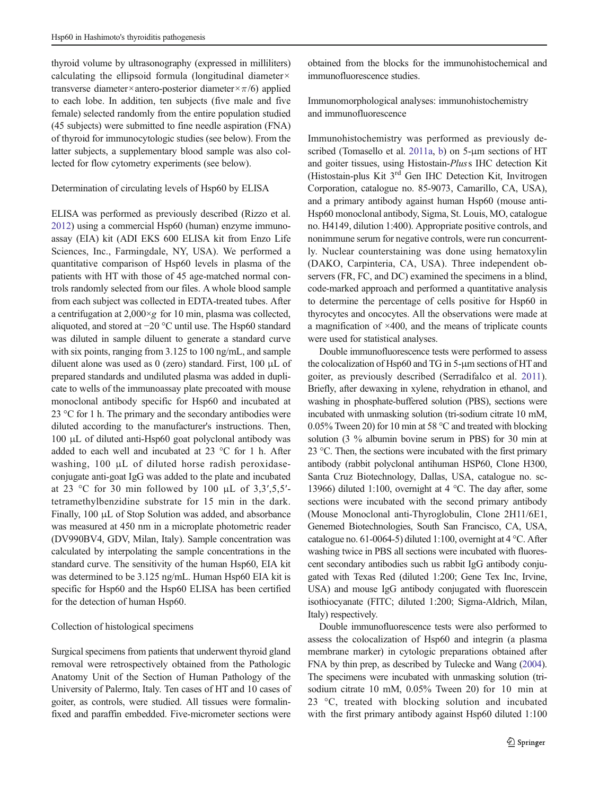thyroid volume by ultrasonography (expressed in milliliters) calculating the ellipsoid formula (longitudinal diameter× transverse diameter×antero-posterior diameter× $\pi/6$ ) applied to each lobe. In addition, ten subjects (five male and five female) selected randomly from the entire population studied (45 subjects) were submitted to fine needle aspiration (FNA) of thyroid for immunocytologic studies (see below). From the latter subjects, a supplementary blood sample was also collected for flow cytometry experiments (see below).

## Determination of circulating levels of Hsp60 by ELISA

ELISA was performed as previously described (Rizzo et al. [2012\)](#page-9-0) using a commercial Hsp60 (human) enzyme immunoassay (EIA) kit (ADI EKS 600 ELISA kit from Enzo Life Sciences, Inc., Farmingdale, NY, USA). We performed a quantitative comparison of Hsp60 levels in plasma of the patients with HT with those of 45 age-matched normal controls randomly selected from our files. A whole blood sample from each subject was collected in EDTA-treated tubes. After a centrifugation at  $2,000 \times g$  for 10 min, plasma was collected, aliquoted, and stored at −20 °C until use. The Hsp60 standard was diluted in sample diluent to generate a standard curve with six points, ranging from 3.125 to 100 ng/mL, and sample diluent alone was used as 0 (zero) standard. First, 100 μL of prepared standards and undiluted plasma was added in duplicate to wells of the immunoassay plate precoated with mouse monoclonal antibody specific for Hsp60 and incubated at 23 °C for 1 h. The primary and the secondary antibodies were diluted according to the manufacturer's instructions. Then, 100 μL of diluted anti-Hsp60 goat polyclonal antibody was added to each well and incubated at 23 °C for 1 h. After washing, 100 μL of diluted horse radish peroxidaseconjugate anti-goat IgG was added to the plate and incubated at 23 °C for 30 min followed by 100  $\mu$ L of 3,3',5,5'tetramethylbenzidine substrate for 15 min in the dark. Finally, 100 μL of Stop Solution was added, and absorbance was measured at 450 nm in a microplate photometric reader (DV990BV4, GDV, Milan, Italy). Sample concentration was calculated by interpolating the sample concentrations in the standard curve. The sensitivity of the human Hsp60, EIA kit was determined to be 3.125 ng/mL. Human Hsp60 EIA kit is specific for Hsp60 and the Hsp60 ELISA has been certified for the detection of human Hsp60.

## Collection of histological specimens

Surgical specimens from patients that underwent thyroid gland removal were retrospectively obtained from the Pathologic Anatomy Unit of the Section of Human Pathology of the University of Palermo, Italy. Ten cases of HT and 10 cases of goiter, as controls, were studied. All tissues were formalinfixed and paraffin embedded. Five-micrometer sections were

obtained from the blocks for the immunohistochemical and immunofluorescence studies.

Immunomorphological analyses: immunohistochemistry and immunofluorescence

Immunohistochemistry was performed as previously described (Tomasello et al. [2011a](#page-9-0), [b\)](#page-9-0) on 5-μm sections of HT and goiter tissues, using Histostain-Pluss IHC detection Kit (Histostain-plus Kit 3rd Gen IHC Detection Kit, Invitrogen Corporation, catalogue no. 85-9073, Camarillo, CA, USA), and a primary antibody against human Hsp60 (mouse anti-Hsp60 monoclonal antibody, Sigma, St. Louis, MO, catalogue no. H4149, dilution 1:400). Appropriate positive controls, and nonimmune serum for negative controls, were run concurrently. Nuclear counterstaining was done using hematoxylin (DAKO, Carpinteria, CA, USA). Three independent observers (FR, FC, and DC) examined the specimens in a blind, code-marked approach and performed a quantitative analysis to determine the percentage of cells positive for Hsp60 in thyrocytes and oncocytes. All the observations were made at a magnification of ×400, and the means of triplicate counts were used for statistical analyses.

Double immunofluorescence tests were performed to assess the colocalization of Hsp60 and TG in 5-μm sections of HT and goiter, as previously described (Serradifalco et al. [2011\)](#page-9-0). Briefly, after dewaxing in xylene, rehydration in ethanol, and washing in phosphate-buffered solution (PBS), sections were incubated with unmasking solution (tri-sodium citrate 10 mM, 0.05% Tween 20) for 10 min at 58 °C and treated with blocking solution (3 % albumin bovine serum in PBS) for 30 min at 23 °C. Then, the sections were incubated with the first primary antibody (rabbit polyclonal antihuman HSP60, Clone H300, Santa Cruz Biotechnology, Dallas, USA, catalogue no. sc-13966) diluted 1:100, overnight at 4 °C. The day after, some sections were incubated with the second primary antibody (Mouse Monoclonal anti-Thyroglobulin, Clone 2H11/6E1, Genemed Biotechnologies, South San Francisco, CA, USA, catalogue no. 61-0064-5) diluted 1:100, overnight at 4 °C. After washing twice in PBS all sections were incubated with fluorescent secondary antibodies such us rabbit IgG antibody conjugated with Texas Red (diluted 1:200; Gene Tex Inc, Irvine, USA) and mouse IgG antibody conjugated with fluorescein isothiocyanate (FITC; diluted 1:200; Sigma-Aldrich, Milan, Italy) respectively.

Double immunofluorescence tests were also performed to assess the colocalization of Hsp60 and integrin (a plasma membrane marker) in cytologic preparations obtained after FNA by thin prep, as described by Tulecke and Wang ([2004\)](#page-9-0). The specimens were incubated with unmasking solution (trisodium citrate 10 mM, 0.05% Tween 20) for 10 min at 23 °C, treated with blocking solution and incubated with the first primary antibody against Hsp60 diluted 1:100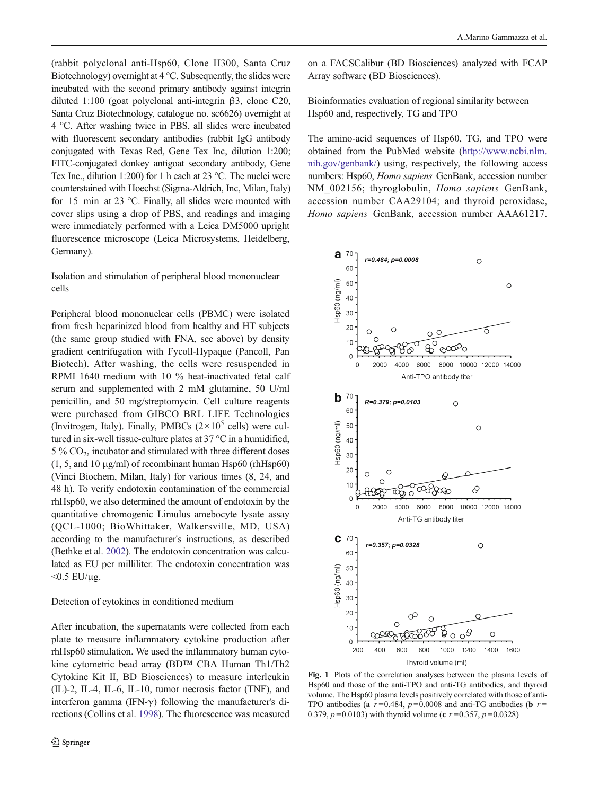<span id="page-3-0"></span>(rabbit polyclonal anti-Hsp60, Clone H300, Santa Cruz Biotechnology) overnight at 4 °C. Subsequently, the slides were incubated with the second primary antibody against integrin diluted 1:100 (goat polyclonal anti-integrin β3, clone C20, Santa Cruz Biotechnology, catalogue no. sc6626) overnight at 4 °C. After washing twice in PBS, all slides were incubated with fluorescent secondary antibodies (rabbit IgG antibody conjugated with Texas Red, Gene Tex Inc, dilution 1:200; FITC-conjugated donkey antigoat secondary antibody, Gene Tex Inc., dilution 1:200) for 1 h each at 23 °C. The nuclei were counterstained with Hoechst (Sigma-Aldrich, Inc, Milan, Italy) for 15 min at 23 °C. Finally, all slides were mounted with cover slips using a drop of PBS, and readings and imaging were immediately performed with a Leica DM5000 upright fluorescence microscope (Leica Microsystems, Heidelberg, Germany).

Isolation and stimulation of peripheral blood mononuclear cells

Peripheral blood mononuclear cells (PBMC) were isolated from fresh heparinized blood from healthy and HT subjects (the same group studied with FNA, see above) by density gradient centrifugation with Fycoll-Hypaque (Pancoll, Pan Biotech). After washing, the cells were resuspended in RPMI 1640 medium with 10 % heat-inactivated fetal calf serum and supplemented with 2 mM glutamine, 50 U/ml penicillin, and 50 mg/streptomycin. Cell culture reagents were purchased from GIBCO BRL LIFE Technologies (Invitrogen, Italy). Finally, PMBCs  $(2 \times 10^5 \text{ cells})$  were cultured in six-well tissue-culture plates at 37 °C in a humidified,  $5\%$  CO<sub>2</sub>, incubator and stimulated with three different doses (1, 5, and 10 μg/ml) of recombinant human Hsp60 (rhHsp60) (Vinci Biochem, Milan, Italy) for various times (8, 24, and 48 h). To verify endotoxin contamination of the commercial rhHsp60, we also determined the amount of endotoxin by the quantitative chromogenic Limulus amebocyte lysate assay (QCL-1000; BioWhittaker, Walkersville, MD, USA) according to the manufacturer's instructions, as described (Bethke et al. [2002\)](#page-8-0). The endotoxin concentration was calculated as EU per milliliter. The endotoxin concentration was  $<$ 0.5 EU/μg.

## Detection of cytokines in conditioned medium

After incubation, the supernatants were collected from each plate to measure inflammatory cytokine production after rhHsp60 stimulation. We used the inflammatory human cytokine cytometric bead array (BD™ CBA Human Th1/Th2 Cytokine Kit II, BD Biosciences) to measure interleukin (IL)-2, IL-4, IL-6, IL-10, tumor necrosis factor (TNF), and interferon gamma (IFN-γ) following the manufacturer's directions (Collins et al. [1998](#page-9-0)). The fluorescence was measured on a FACSCalibur (BD Biosciences) analyzed with FCAP Array software (BD Biosciences).

Bioinformatics evaluation of regional similarity between Hsp60 and, respectively, TG and TPO

The amino-acid sequences of Hsp60, TG, and TPO were obtained from the PubMed website ([http://www.ncbi.nlm.](http://www.ncbi.nlm.nih.gov/genbank/) [nih.gov/genbank/\)](http://www.ncbi.nlm.nih.gov/genbank/) using, respectively, the following access numbers: Hsp60, Homo sapiens GenBank, accession number NM 002156; thyroglobulin, Homo sapiens GenBank, accession number CAA29104; and thyroid peroxidase, Homo sapiens GenBank, accession number AAA61217.



Fig. 1 Plots of the correlation analyses between the plasma levels of Hsp60 and those of the anti-TPO and anti-TG antibodies, and thyroid volume. The Hsp60 plasma levels positively correlated with those of anti-TPO antibodies (a  $r=0.484$ ,  $p=0.0008$  and anti-TG antibodies (b  $r=$ 0.379,  $p = 0.0103$ ) with thyroid volume (c  $r = 0.357$ ,  $p = 0.0328$ )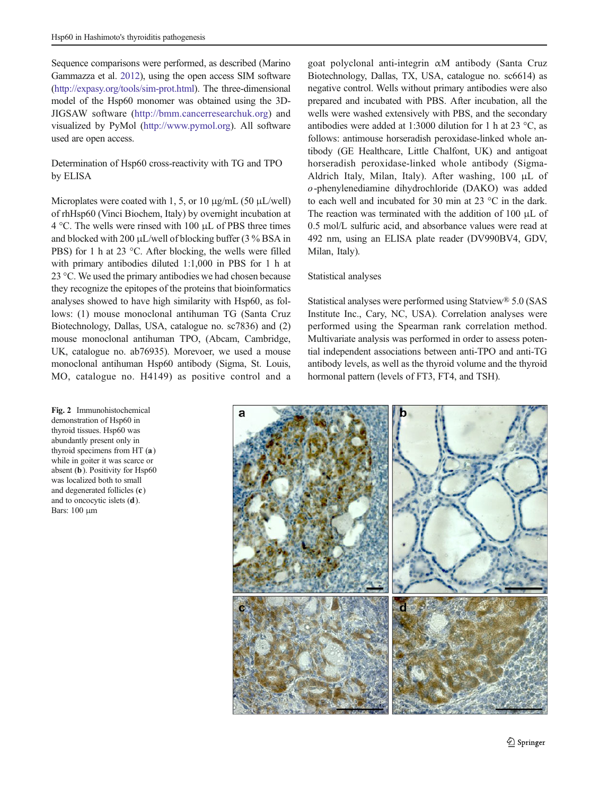<span id="page-4-0"></span>Sequence comparisons were performed, as described (Marino Gammazza et al. [2012](#page-9-0)), using the open access SIM software [\(http://expasy.org/tools/sim-prot.html](http://expasy.org/tools/sim-prot.html)). The three-dimensional model of the Hsp60 monomer was obtained using the 3D-JIGSAW software ([http://bmm.cancerresearchuk.org\)](http://bmm.cancerresearchuk.org) and visualized by PyMol (<http://www.pymol.org>). All software used are open access.

# Determination of Hsp60 cross-reactivity with TG and TPO by ELISA

Microplates were coated with 1, 5, or 10  $\mu$ g/mL (50  $\mu$ L/well) of rhHsp60 (Vinci Biochem, Italy) by overnight incubation at 4 °C. The wells were rinsed with 100 μL of PBS three times and blocked with 200 μL/well of blocking buffer (3 % BSA in PBS) for 1 h at 23 °C. After blocking, the wells were filled with primary antibodies diluted 1:1,000 in PBS for 1 h at 23 °C. We used the primary antibodies we had chosen because they recognize the epitopes of the proteins that bioinformatics analyses showed to have high similarity with Hsp60, as follows: (1) mouse monoclonal antihuman TG (Santa Cruz Biotechnology, Dallas, USA, catalogue no. sc7836) and (2) mouse monoclonal antihuman TPO, (Abcam, Cambridge, UK, catalogue no. ab76935). Morevoer, we used a mouse monoclonal antihuman Hsp60 antibody (Sigma, St. Louis, MO, catalogue no. H4149) as positive control and a

Fig. 2 Immunohistochemical demonstration of Hsp60 in thyroid tissues. Hsp60 was abundantly present only in thyroid specimens from HT (a) while in goiter it was scarce or absent (b). Positivity for Hsp60 was localized both to small and degenerated follicles (c) and to oncocytic islets (d). Bars: 100 μm

goat polyclonal anti-integrin αM antibody (Santa Cruz Biotechnology, Dallas, TX, USA, catalogue no. sc6614) as negative control. Wells without primary antibodies were also prepared and incubated with PBS. After incubation, all the wells were washed extensively with PBS, and the secondary antibodies were added at 1:3000 dilution for 1 h at 23 °C, as follows: antimouse horseradish peroxidase-linked whole antibody (GE Healthcare, Little Chalfont, UK) and antigoat horseradish peroxidase-linked whole antibody (Sigma-Aldrich Italy, Milan, Italy). After washing, 100 μL of o-phenylenediamine dihydrochloride (DAKO) was added to each well and incubated for 30 min at 23 °C in the dark. The reaction was terminated with the addition of 100 μL of 0.5 mol/L sulfuric acid, and absorbance values were read at 492 nm, using an ELISA plate reader (DV990BV4, GDV, Milan, Italy).

## Statistical analyses

Statistical analyses were performed using Statview® 5.0 (SAS Institute Inc., Cary, NC, USA). Correlation analyses were performed using the Spearman rank correlation method. Multivariate analysis was performed in order to assess potential independent associations between anti-TPO and anti-TG antibody levels, as well as the thyroid volume and the thyroid hormonal pattern (levels of FT3, FT4, and TSH).

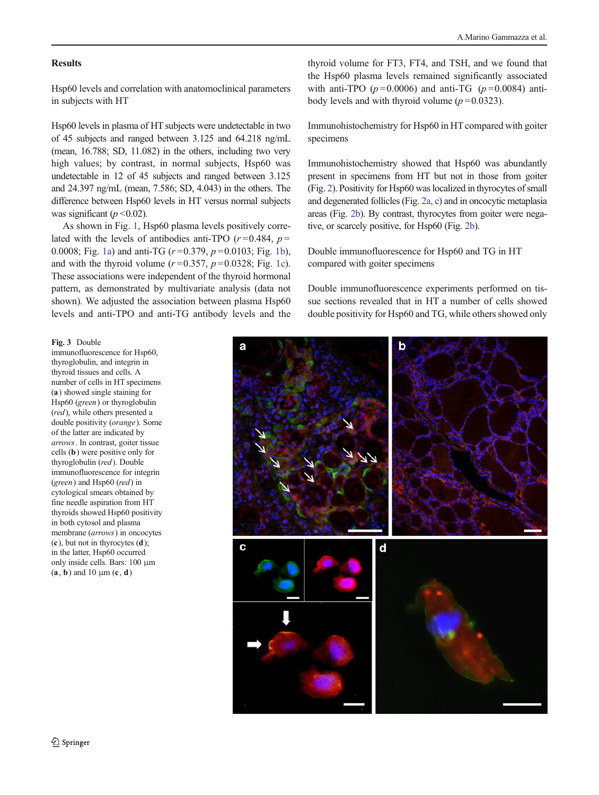## <span id="page-5-0"></span>Results

Hsp60 levels and correlation with anatomoclinical parameters in subjects with HT

Hsp60 levels in plasma of HT subjects were undetectable in two of 45 subjects and ranged between 3.125 and 64.218 ng/mL (mean, 16.788; SD, 11.082) in the others, including two very high values; by contrast, in normal subjects, Hsp60 was undetectable in 12 of 45 subjects and ranged between 3.125 and 24.397 ng/mL (mean, 7.586; SD, 4.043) in the others. The difference between Hsp60 levels in HT versus normal subjects was significant  $(p<0.02)$ .

As shown in Fig. [1](#page-3-0), Hsp60 plasma levels positively correlated with the levels of antibodies anti-TPO  $(r=0.484, p=$ 0.0008; Fig. [1a\)](#page-3-0) and anti-TG  $(r=0.379, p=0.0103;$  Fig. [1b\)](#page-3-0), and with the thyroid volume ( $r = 0.357$ ,  $p = 0.0328$ ; Fig. [1c\)](#page-3-0). These associations were independent of the thyroid hormonal pattern, as demonstrated by multivariate analysis (data not shown). We adjusted the association between plasma Hsp60 levels and anti-TPO and anti-TG antibody levels and the

thyroid volume for FT3, FT4, and TSH, and we found that the Hsp60 plasma levels remained significantly associated with anti-TPO  $(p=0.0006)$  and anti-TG  $(p=0.0084)$  antibody levels and with thyroid volume  $(p=0.0323)$ .

Immunohistochemistry for Hsp60 in HT compared with goiter specimens

Immunohistochemistry showed that Hsp60 was abundantly present in specimens from HT but not in those from goiter (Fig. [2](#page-4-0)). Positivity for Hsp60 was localized in thyrocytes of small and degenerated follicles (Fig. [2a, c\)](#page-4-0) and in oncocytic metaplasia areas (Fig. [2b](#page-4-0)). By contrast, thyrocytes from goiter were negative, or scarcely positive, for Hsp60 (Fig. [2b\)](#page-4-0).

Double immunofluorescence for Hsp60 and TG in HT compared with goiter specimens

Double immunofluorescence experiments performed on tissue sections revealed that in HT a number of cells showed double positivity for Hsp60 and TG, while others showed only

### Fig. 3 Double

immunofluorescence for Hsp60, thyroglobulin, and integrin in thyroid tissues and cells. A number of cells in HT specimens (a) showed single staining for Hsp60 (green) or thyroglobulin (red), while others presented a double positivity (orange). Some of the latter are indicated by arrows. In contrast, goiter tissue cells (b) were positive only for thyroglobulin (red). Double immunofluorescence for integrin (green) and Hsp60 (red) in cytological smears obtained by fine needle aspiration from HT thyroids showed Hsp60 positivity in both cytosol and plasma membrane (arrows) in oncocytes (c), but not in thyrocytes (d); in the latter, Hsp60 occurred only inside cells. Bars: 100 μm  $(a, b)$  and 10  $\mu$ m  $(c, d)$ 

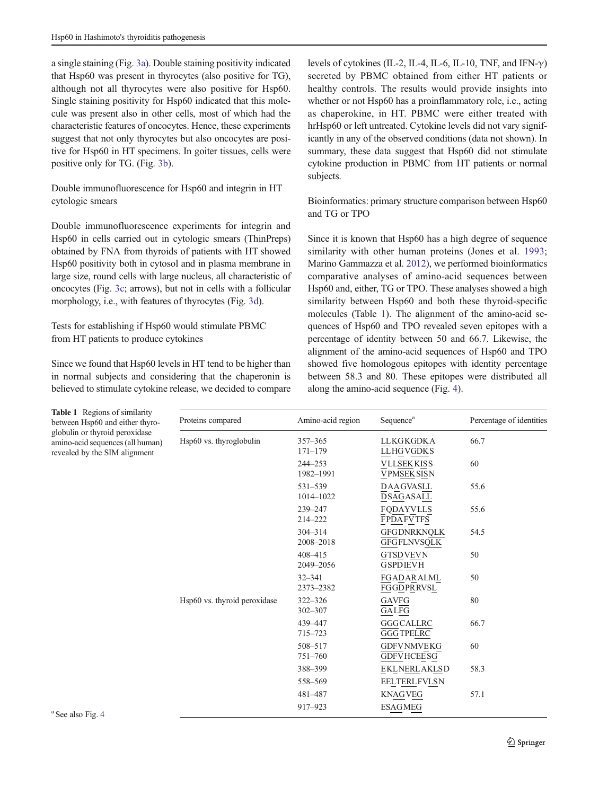<span id="page-6-0"></span>a single staining (Fig. [3a\)](#page-5-0). Double staining positivity indicated that Hsp60 was present in thyrocytes (also positive for TG), although not all thyrocytes were also positive for Hsp60. Single staining positivity for Hsp60 indicated that this molecule was present also in other cells, most of which had the characteristic features of oncocytes. Hence, these experiments suggest that not only thyrocytes but also oncocytes are positive for Hsp60 in HT specimens. In goiter tissues, cells were positive only for TG. (Fig. [3b](#page-5-0)).

Double immunofluorescence for Hsp60 and integrin in HT cytologic smears

Double immunofluorescence experiments for integrin and Hsp60 in cells carried out in cytologic smears (ThinPreps) obtained by FNA from thyroids of patients with HT showed Hsp60 positivity both in cytosol and in plasma membrane in large size, round cells with large nucleus, all characteristic of oncocytes (Fig. [3c;](#page-5-0) arrows), but not in cells with a follicular morphology, i.e., with features of thyrocytes (Fig. [3d](#page-5-0)).

Tests for establishing if Hsp60 would stimulate PBMC from HT patients to produce cytokines

Since we found that Hsp60 levels in HT tend to be higher than in normal subjects and considering that the chaperonin is believed to stimulate cytokine release, we decided to compare

levels of cytokines (IL-2, IL-4, IL-6, IL-10, TNF, and IFN- $\nu$ ) secreted by PBMC obtained from either HT patients or healthy controls. The results would provide insights into whether or not Hsp60 has a proinflammatory role, i.e., acting as chaperokine, in HT. PBMC were either treated with hrHsp60 or left untreated. Cytokine levels did not vary significantly in any of the observed conditions (data not shown). In summary, these data suggest that Hsp60 did not stimulate cytokine production in PBMC from HT patients or normal subjects.

Bioinformatics: primary structure comparison between Hsp60 and TG or TPO

Since it is known that Hsp60 has a high degree of sequence similarity with other human proteins (Jones et al. [1993;](#page-9-0) Marino Gammazza et al. [2012\)](#page-9-0), we performed bioinformatics comparative analyses of amino-acid sequences between Hsp60 and, either, TG or TPO. These analyses showed a high similarity between Hsp60 and both these thyroid-specific molecules (Table 1). The alignment of the amino-acid sequences of Hsp60 and TPO revealed seven epitopes with a percentage of identity between 50 and 66.7. Likewise, the alignment of the amino-acid sequences of Hsp60 and TPO showed five homologous epitopes with identity percentage between 58.3 and 80. These epitopes were distributed all along the amino-acid sequence (Fig. [4](#page-7-0)).

| Proteins compared            | Amino-acid region          | Sequence <sup>a</sup>                    | Percentage of identities |
|------------------------------|----------------------------|------------------------------------------|--------------------------|
| Hsp60 vs. thyroglobulin      | 357-365<br>$171 - 179$     | LLKGKGDKA<br><b>LLHGVGDKS</b>            | 66.7                     |
|                              | 244-253<br>1982-1991       | VLLSEKKISS<br><b>VPMSEKSISN</b>          | 60                       |
|                              | 531-539<br>1014-1022       | <b>DAAGVASLL</b><br>DSAGASALL            | 55.6                     |
|                              | 239-247<br>214-222         | <b>FQDAYVLLS</b><br><b>FPDAFVTFS</b>     | 55.6                     |
|                              | $304 - 314$<br>2008-2018   | <b>GFGDNRKNQLK</b><br><b>GFGFLNVSQLK</b> | 54.5                     |
|                              | 408-415<br>2049-2056       | <b>GTSDVEVN</b><br><b>GSPDIEVH</b>       | 50                       |
|                              | $32 - 341$<br>2373-2382    | FGADARALML<br>FGGDPRRVSL                 | 50                       |
| Hsp60 vs. thyroid peroxidase | $322 - 326$<br>$302 - 307$ | <b>GAVFG</b><br><b>GALFG</b>             | 80                       |
|                              | 439-447<br>715-723         | GGGCALLRC<br><b>GGGTPELRC</b>            | 66.7                     |
|                              | 508-517<br>$751 - 760$     | <b>GDFVNMVEKG</b><br><b>GDFVHCEESG</b>   | 60                       |
|                              | 388-399<br>558-569         | EKLNERLAKLSD<br><b>EELTERLFVLSN</b>      | 58.3                     |
|                              | 481-487<br>917-923         | <b>KNAGVEG</b><br><b>ESAGMEG</b>         | 57.1                     |
|                              |                            |                                          |                          |

Table 1 Regions of similar between Hsp60 and either globulin or thyroid peroxic amino-acid sequences (all h revealed by the SIM aligni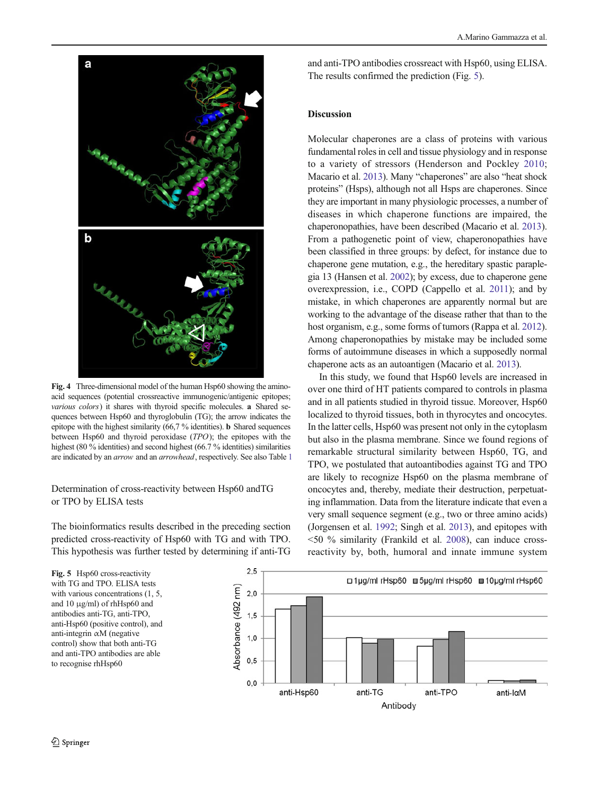<span id="page-7-0"></span>

Fig. 4 Three-dimensional model of the human Hsp60 showing the aminoacid sequences (potential crossreactive immunogenic/antigenic epitopes; various colors) it shares with thyroid specific molecules. a Shared sequences between Hsp60 and thyroglobulin (TG); the arrow indicates the epitope with the highest similarity (66,7 % identities). b Shared sequences between Hsp60 and thyroid peroxidase (TPO); the epitopes with the highest (80 % identities) and second highest (66.7 % identities) similarities are indicated by an arrow and an arrowhead, respectively. See also Table [1](#page-6-0)

## Determination of cross-reactivity between Hsp60 andTG or TPO by ELISA tests

The bioinformatics results described in the preceding section predicted cross-reactivity of Hsp60 with TG and with TPO. This hypothesis was further tested by determining if anti-TG A.Marino Gammazza et al.

and anti-TPO antibodies crossreact with Hsp60, using ELISA. The results confirmed the prediction (Fig. 5).

## Discussion

Molecular chaperones are a class of proteins with various fundamental roles in cell and tissue physiology and in response to a variety of stressors (Henderson and Pockley [2010;](#page-9-0) Macario et al. [2013\)](#page-9-0). Many "chaperones" are also "heat shock proteins" (Hsps), although not all Hsps are chaperones. Since they are important in many physiologic processes, a number of diseases in which chaperone functions are impaired, the chaperonopathies, have been described (Macario et al. [2013\)](#page-9-0). From a pathogenetic point of view, chaperonopathies have been classified in three groups: by defect, for instance due to chaperone gene mutation, e.g., the hereditary spastic paraplegia 13 (Hansen et al. [2002](#page-9-0)); by excess, due to chaperone gene overexpression, i.e., COPD (Cappello et al. [2011](#page-9-0)); and by mistake, in which chaperones are apparently normal but are working to the advantage of the disease rather that than to the host organism, e.g., some forms of tumors (Rappa et al. [2012\)](#page-9-0). Among chaperonopathies by mistake may be included some forms of autoimmune diseases in which a supposedly normal chaperone acts as an autoantigen (Macario et al. [2013](#page-9-0)).

In this study, we found that Hsp60 levels are increased in over one third of HT patients compared to controls in plasma and in all patients studied in thyroid tissue. Moreover, Hsp60 localized to thyroid tissues, both in thyrocytes and oncocytes. In the latter cells, Hsp60 was present not only in the cytoplasm but also in the plasma membrane. Since we found regions of remarkable structural similarity between Hsp60, TG, and TPO, we postulated that autoantibodies against TG and TPO are likely to recognize Hsp60 on the plasma membrane of oncocytes and, thereby, mediate their destruction, perpetuating inflammation. Data from the literature indicate that even a very small sequence segment (e.g., two or three amino acids) (Jorgensen et al. [1992;](#page-9-0) Singh et al. [2013](#page-9-0)), and epitopes with <50 % similarity (Frankild et al. [2008\)](#page-9-0), can induce crossreactivity by, both, humoral and innate immune system

Fig. 5 Hsp60 cross-reactivity with TG and TPO. ELISA tests with various concentrations  $(1, 5, 1)$ and 10 μg/ml) of rhHsp60 and antibodies anti-TG, anti-TPO, anti-Hsp60 (positive control), and anti-integrin αM (negative control) show that both anti-TG and anti-TPO antibodies are able to recognise rhHsp60

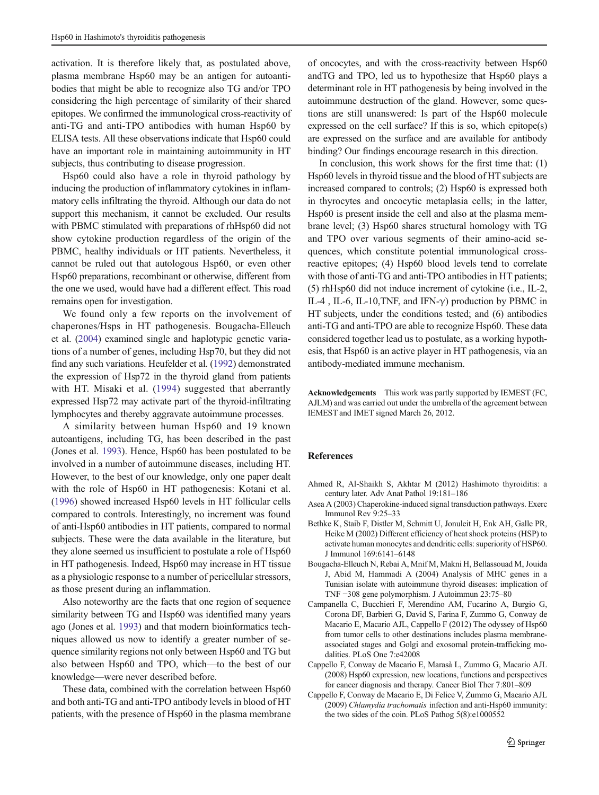<span id="page-8-0"></span>activation. It is therefore likely that, as postulated above, plasma membrane Hsp60 may be an antigen for autoantibodies that might be able to recognize also TG and/or TPO considering the high percentage of similarity of their shared epitopes. We confirmed the immunological cross-reactivity of anti-TG and anti-TPO antibodies with human Hsp60 by ELISA tests. All these observations indicate that Hsp60 could have an important role in maintaining autoimmunity in HT subjects, thus contributing to disease progression.

Hsp60 could also have a role in thyroid pathology by inducing the production of inflammatory cytokines in inflammatory cells infiltrating the thyroid. Although our data do not support this mechanism, it cannot be excluded. Our results with PBMC stimulated with preparations of rhHsp60 did not show cytokine production regardless of the origin of the PBMC, healthy individuals or HT patients. Nevertheless, it cannot be ruled out that autologous Hsp60, or even other Hsp60 preparations, recombinant or otherwise, different from the one we used, would have had a different effect. This road remains open for investigation.

We found only a few reports on the involvement of chaperones/Hsps in HT pathogenesis. Bougacha-Elleuch et al. (2004) examined single and haplotypic genetic variations of a number of genes, including Hsp70, but they did not find any such variations. Heufelder et al. [\(1992\)](#page-9-0) demonstrated the expression of Hsp72 in the thyroid gland from patients with HT. Misaki et al. [\(1994\)](#page-9-0) suggested that aberrantly expressed Hsp72 may activate part of the thyroid-infiltrating lymphocytes and thereby aggravate autoimmune processes.

A similarity between human Hsp60 and 19 known autoantigens, including TG, has been described in the past (Jones et al. [1993\)](#page-9-0). Hence, Hsp60 has been postulated to be involved in a number of autoimmune diseases, including HT. However, to the best of our knowledge, only one paper dealt with the role of Hsp60 in HT pathogenesis: Kotani et al. [\(1996\)](#page-9-0) showed increased Hsp60 levels in HT follicular cells compared to controls. Interestingly, no increment was found of anti-Hsp60 antibodies in HT patients, compared to normal subjects. These were the data available in the literature, but they alone seemed us insufficient to postulate a role of Hsp60 in HT pathogenesis. Indeed, Hsp60 may increase in HT tissue as a physiologic response to a number of pericellular stressors, as those present during an inflammation.

Also noteworthy are the facts that one region of sequence similarity between TG and Hsp60 was identified many years ago (Jones et al. [1993](#page-9-0)) and that modern bioinformatics techniques allowed us now to identify a greater number of sequence similarity regions not only between Hsp60 and TG but also between Hsp60 and TPO, which—to the best of our knowledge—were never described before.

These data, combined with the correlation between Hsp60 and both anti-TG and anti-TPO antibody levels in blood of HT patients, with the presence of Hsp60 in the plasma membrane of oncocytes, and with the cross-reactivity between Hsp60 andTG and TPO, led us to hypothesize that Hsp60 plays a determinant role in HT pathogenesis by being involved in the autoimmune destruction of the gland. However, some questions are still unanswered: Is part of the Hsp60 molecule expressed on the cell surface? If this is so, which epitope(s) are expressed on the surface and are available for antibody binding? Our findings encourage research in this direction.

In conclusion, this work shows for the first time that:  $(1)$ Hsp60 levels in thyroid tissue and the blood of HT subjects are increased compared to controls; (2) Hsp60 is expressed both in thyrocytes and oncocytic metaplasia cells; in the latter, Hsp60 is present inside the cell and also at the plasma membrane level; (3) Hsp60 shares structural homology with TG and TPO over various segments of their amino-acid sequences, which constitute potential immunological crossreactive epitopes; (4) Hsp60 blood levels tend to correlate with those of anti-TG and anti-TPO antibodies in HT patients; (5) rhHsp60 did not induce increment of cytokine (i.e., IL-2, IL-4 , IL-6, IL-10,TNF, and IFN-γ) production by PBMC in HT subjects, under the conditions tested; and (6) antibodies anti-TG and anti-TPO are able to recognize Hsp60. These data considered together lead us to postulate, as a working hypothesis, that Hsp60 is an active player in HT pathogenesis, via an antibody-mediated immune mechanism.

Acknowledgements This work was partly supported by IEMEST (FC, AJLM) and was carried out under the umbrella of the agreement between IEMEST and IMET signed March 26, 2012.

### References

- Ahmed R, Al-Shaikh S, Akhtar M (2012) Hashimoto thyroiditis: a century later. Adv Anat Pathol 19:181–186
- Asea A (2003) Chaperokine-induced signal transduction pathways. Exerc Immunol Rev 9:25–33
- Bethke K, Staib F, Distler M, Schmitt U, Jonuleit H, Enk AH, Galle PR, Heike M (2002) Different efficiency of heat shock proteins (HSP) to activate human monocytes and dendritic cells: superiority of HSP60. J Immunol 169:6141–6148
- Bougacha-Elleuch N, Rebai A, Mnif M, Makni H, Bellassouad M, Jouida J, Abid M, Hammadi A (2004) Analysis of MHC genes in a Tunisian isolate with autoimmune thyroid diseases: implication of TNF −308 gene polymorphism. J Autoimmun 23:75–80
- Campanella C, Bucchieri F, Merendino AM, Fucarino A, Burgio G, Corona DF, Barbieri G, David S, Farina F, Zummo G, Conway de Macario E, Macario AJL, Cappello F (2012) The odyssey of Hsp60 from tumor cells to other destinations includes plasma membraneassociated stages and Golgi and exosomal protein-trafficking modalities. PLoS One 7:e42008
- Cappello F, Conway de Macario E, Marasà L, Zummo G, Macario AJL (2008) Hsp60 expression, new locations, functions and perspectives for cancer diagnosis and therapy. Cancer Biol Ther 7:801–809
- Cappello F, Conway de Macario E, Di Felice V, Zummo G, Macario AJL (2009) Chlamydia trachomatis infection and anti-Hsp60 immunity: the two sides of the coin. PLoS Pathog 5(8):e1000552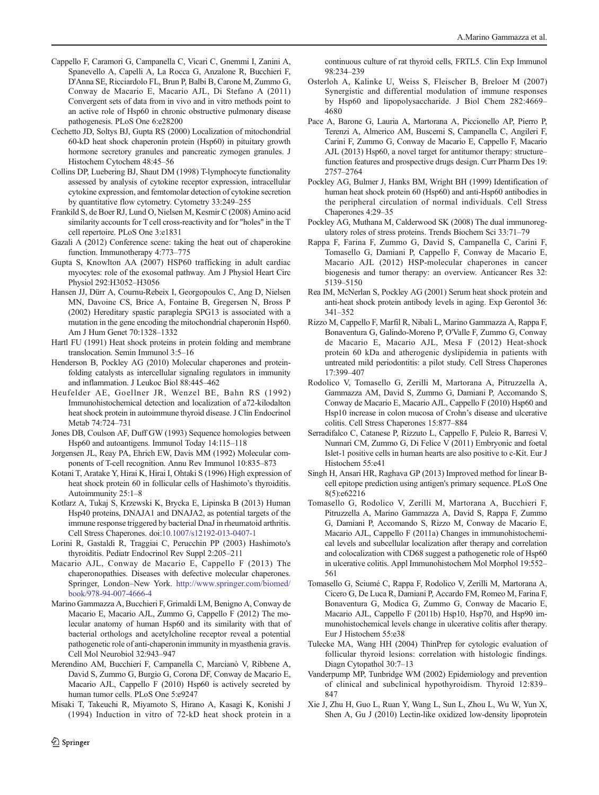- <span id="page-9-0"></span>Cappello F, Caramori G, Campanella C, Vicari C, Gnemmi I, Zanini A, Spanevello A, Capelli A, La Rocca G, Anzalone R, Bucchieri F, D'Anna SE, Ricciardolo FL, Brun P, Balbi B, Carone M, Zummo G, Conway de Macario E, Macario AJL, Di Stefano A (2011) Convergent sets of data from in vivo and in vitro methods point to an active role of Hsp60 in chronic obstructive pulmonary disease pathogenesis. PLoS One 6:e28200
- Cechetto JD, Soltys BJ, Gupta RS (2000) Localization of mitochondrial 60-kD heat shock chaperonin protein (Hsp60) in pituitary growth hormone secretory granules and pancreatic zymogen granules. J Histochem Cytochem 48:45–56
- Collins DP, Luebering BJ, Shaut DM (1998) T-lymphocyte functionality assessed by analysis of cytokine receptor expression, intracellular cytokine expression, and femtomolar detection of cytokine secretion by quantitative flow cytometry. Cytometry 33:249–255
- Frankild S, de Boer RJ, Lund O, Nielsen M, Kesmir C (2008) Amino acid similarity accounts for T cell cross-reactivity and for "holes" in the T cell repertoire. PLoS One 3:e1831
- Gazali A (2012) Conference scene: taking the heat out of chaperokine function. Immunotherapy 4:773–775
- Gupta S, Knowlton AA (2007) HSP60 trafficking in adult cardiac myocytes: role of the exosomal pathway. Am J Physiol Heart Circ Physiol 292:H3052–H3056
- Hansen JJ, Dürr A, Cournu-Rebeix I, Georgopoulos C, Ang D, Nielsen MN, Davoine CS, Brice A, Fontaine B, Gregersen N, Bross P (2002) Hereditary spastic paraplegia SPG13 is associated with a mutation in the gene encoding the mitochondrial chaperonin Hsp60. Am J Hum Genet 70:1328–1332
- Hartl FU (1991) Heat shock proteins in protein folding and membrane translocation. Semin Immunol 3:5–16
- Henderson B, Pockley AG (2010) Molecular chaperones and proteinfolding catalysts as intercellular signaling regulators in immunity and inflammation. J Leukoc Biol 88:445–462
- Heufelder AE, Goellner JR, Wenzel BE, Bahn RS (1992) Immunohistochemical detection and localization of a72-kilodalton heat shock protein in autoimmune thyroid disease. J Clin Endocrinol Metab 74:724–731
- Jones DB, Coulson AF, Duff GW (1993) Sequence homologies between Hsp60 and autoantigens. Immunol Today 14:115–118
- Jorgensen JL, Reay PA, Ehrich EW, Davis MM (1992) Molecular components of T-cell recognition. Annu Rev Immunol 10:835–873
- Kotani T, Aratake Y, Hirai K, Hirai I, Ohtaki S (1996) High expression of heat shock protein 60 in follicular cells of Hashimoto's thyroiditis. Autoimmunity 25:1–8
- Kotlarz A, Tukaj S, Krzewski K, Brycka E, Lipinska B (2013) Human Hsp40 proteins, DNAJA1 and DNAJA2, as potential targets of the immune response triggered by bacterial DnaJ in rheumatoid arthritis. Cell Stress Chaperones. doi[:10.1007/s12192-013-0407-1](http://dx.doi.org/10.1007/s12192-013-0407-1)
- Lorini R, Gastaldi R, Traggiai C, Perucchin PP (2003) Hashimoto's thyroiditis. Pediatr Endocrinol Rev Suppl 2:205–211
- Macario AJL, Conway de Macario E, Cappello F (2013) The chaperonopathies. Diseases with defective molecular chaperones. Springer, London–New York. [http://www.springer.com/biomed/](http://www.springer.com/biomed/book/978-94-007-4666-4) [book/978-94-007-4666-4](http://www.springer.com/biomed/book/978-94-007-4666-4)
- Marino Gammazza A, Bucchieri F, Grimaldi LM, Benigno A, Conway de Macario E, Macario AJL, Zummo G, Cappello F (2012) The molecular anatomy of human Hsp60 and its similarity with that of bacterial orthologs and acetylcholine receptor reveal a potential pathogenetic role of anti-chaperonin immunity in myasthenia gravis. Cell Mol Neurobiol 32:943–947
- Merendino AM, Bucchieri F, Campanella C, Marcianò V, Ribbene A, David S, Zummo G, Burgio G, Corona DF, Conway de Macario E, Macario AJL, Cappello F (2010) Hsp60 is actively secreted by human tumor cells. PLoS One 5:e9247
- Misaki T, Takeuchi R, Miyamoto S, Hirano A, Kasagi K, Konishi J (1994) Induction in vitro of 72-kD heat shock protein in a

continuous culture of rat thyroid cells, FRTL5. Clin Exp Immunol 98:234–239

- Osterloh A, Kalinke U, Weiss S, Fleischer B, Breloer M (2007) Synergistic and differential modulation of immune responses by Hsp60 and lipopolysaccharide. J Biol Chem 282:4669– 4680
- Pace A, Barone G, Lauria A, Martorana A, Piccionello AP, Pierro P, Terenzi A, Almerico AM, Buscemi S, Campanella C, Angileri F, Carini F, Zummo G, Conway de Macario E, Cappello F, Macario AJL (2013) Hsp60, a novel target for antitumor therapy: structure– function features and prospective drugs design. Curr Pharm Des 19: 2757–2764
- Pockley AG, Bulmer J, Hanks BM, Wright BH (1999) Identification of human heat shock protein 60 (Hsp60) and anti-Hsp60 antibodies in the peripheral circulation of normal individuals. Cell Stress Chaperones 4:29–35
- Pockley AG, Muthana M, Calderwood SK (2008) The dual immunoregulatory roles of stress proteins. Trends Biochem Sci 33:71–79
- Rappa F, Farina F, Zummo G, David S, Campanella C, Carini F, Tomasello G, Damiani P, Cappello F, Conway de Macario E, Macario AJL (2012) HSP-molecular chaperones in cancer biogenesis and tumor therapy: an overview. Anticancer Res 32: 5139–5150
- Rea IM, McNerlan S, Pockley AG (2001) Serum heat shock protein and anti-heat shock protein antibody levels in aging. Exp Gerontol 36: 341–352
- Rizzo M, Cappello F, Marfil R, Nibali L, Marino Gammazza A, Rappa F, Bonaventura G, Galindo-Moreno P, O'Valle F, Zummo G, Conway de Macario E, Macario AJL, Mesa F (2012) Heat-shock protein 60 kDa and atherogenic dyslipidemia in patients with untreated mild periodontitis: a pilot study. Cell Stress Chaperones 17:399–407
- Rodolico V, Tomasello G, Zerilli M, Martorana A, Pitruzzella A, Gammazza AM, David S, Zummo G, Damiani P, Accomando S, Conway de Macario E, Macario AJL, Cappello F (2010) Hsp60 and Hsp10 increase in colon mucosa of Crohn's disease and ulcerative colitis. Cell Stress Chaperones 15:877–884
- Serradifalco C, Catanese P, Rizzuto L, Cappello F, Puleio R, Barresi V, Nunnari CM, Zummo G, Di Felice V (2011) Embryonic and foetal Islet-1 positive cells in human hearts are also positive to c-Kit. Eur J Histochem 55:e41
- Singh H, Ansari HR, Raghava GP (2013) Improved method for linear Bcell epitope prediction using antigen's primary sequence. PLoS One 8(5):e62216
- Tomasello G, Rodolico V, Zerilli M, Martorana A, Bucchieri F, Pitruzzella A, Marino Gammazza A, David S, Rappa F, Zummo G, Damiani P, Accomando S, Rizzo M, Conway de Macario E, Macario AJL, Cappello F (2011a) Changes in immunohistochemical levels and subcellular localization after therapy and correlation and colocalization with CD68 suggest a pathogenetic role of Hsp60 in ulcerative colitis. Appl Immunohistochem Mol Morphol 19:552– 561
- Tomasello G, Sciumé C, Rappa F, Rodolico V, Zerilli M, Martorana A, Cicero G, De Luca R, Damiani P, Accardo FM, Romeo M, Farina F, Bonaventura G, Modica G, Zummo G, Conway de Macario E, Macario AJL, Cappello F (2011b) Hsp10, Hsp70, and Hsp90 immunohistochemical levels change in ulcerative colitis after therapy. Eur J Histochem 55:e38
- Tulecke MA, Wang HH (2004) ThinPrep for cytologic evaluation of follicular thyroid lesions: correlation with histologic findings. Diagn Cytopathol 30:7–13
- Vanderpump MP, Tunbridge WM (2002) Epidemiology and prevention of clinical and subclinical hypothyroidism. Thyroid 12:839– 847
- Xie J, Zhu H, Guo L, Ruan Y, Wang L, Sun L, Zhou L, Wu W, Yun X, Shen A, Gu J (2010) Lectin-like oxidized low-density lipoprotein